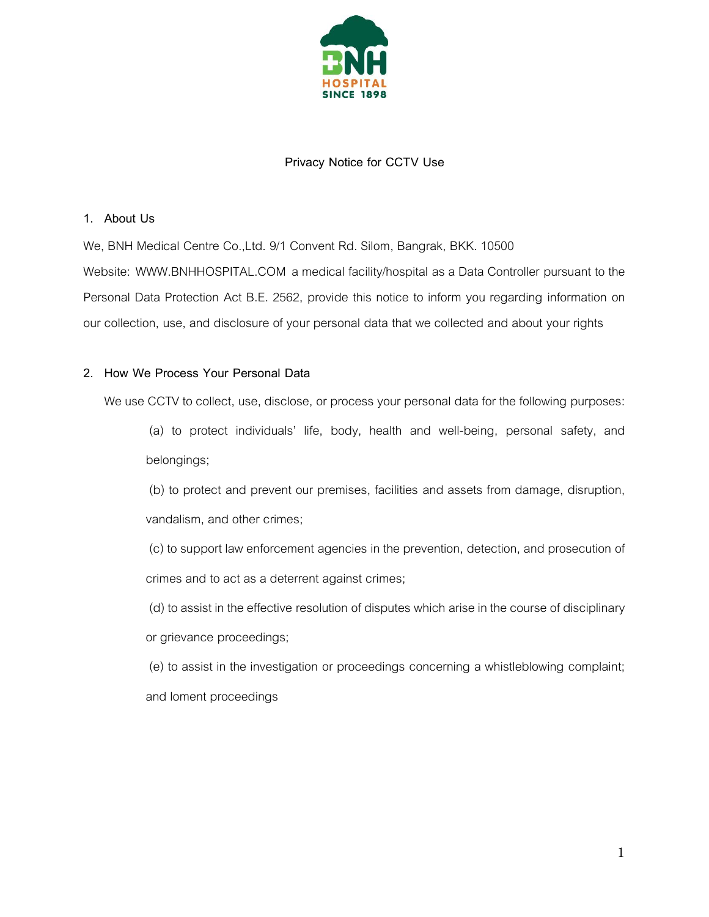

# **Privacy Notice for CCTV Use**

#### **1. About Us**

We, BNH Medical Centre Co.,Ltd. 9/1 Convent Rd. Silom, Bangrak, BKK. 10500

Website: WWW.BNHHOSPITAL.COM a medical facility/hospital as a Data Controller pursuant to the Personal Data Protection Act B.E. 2562, provide this notice to inform you regarding information on our collection, use, and disclosure of your personal data that we collected and about your rights

## **2. How We Process Your Personal Data**

We use CCTV to collect, use, disclose, or process your personal data for the following purposes:

(a) to protect individuals' life, body, health and well-being, personal safety, and belongings;

(b) to protect and prevent our premises, facilities and assets from damage, disruption, vandalism, and other crimes;

(c) to support law enforcement agencies in the prevention, detection, and prosecution of crimes and to act as a deterrent against crimes;

(d) to assist in the effective resolution of disputes which arise in the course of disciplinary or grievance proceedings;

(e) to assist in the investigation or proceedings concerning a whistleblowing complaint; and loment proceedings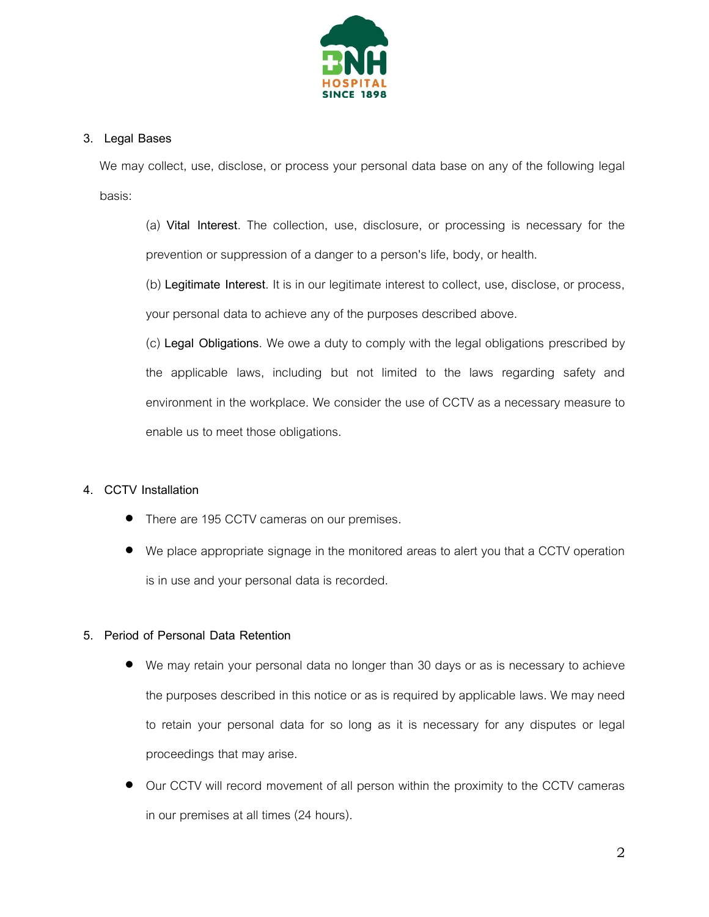

## **3. Legal Bases**

We may collect, use, disclose, or process your personal data base on any of the following legal basis:

(a) **Vital Interest**. The collection, use, disclosure, or processing is necessary for the prevention or suppression of a danger to a person's life, body, or health.

(b) **Legitimate Interest**. It is in our legitimate interest to collect, use, disclose, or process, your personal data to achieve any of the purposes described above.

(c) **Legal Obligations**. We owe a duty to comply with the legal obligations prescribed by the applicable laws, including but not limited to the laws regarding safety and environment in the workplace. We consider the use of CCTV as a necessary measure to enable us to meet those obligations.

# **4. CCTV Installation**

- There are 195 CCTV cameras on our premises.
- We place appropriate signage in the monitored areas to alert you that a CCTV operation is in use and your personal data is recorded.

# **5. Period of Personal Data Retention**

- We may retain your personal data no longer than 30 days or as is necessary to achieve the purposes described in this notice or as is required by applicable laws. We may need to retain your personal data for so long as it is necessary for any disputes or legal proceedings that may arise.
- Our CCTV will record movement of all person within the proximity to the CCTV cameras in our premises at all times (24 hours).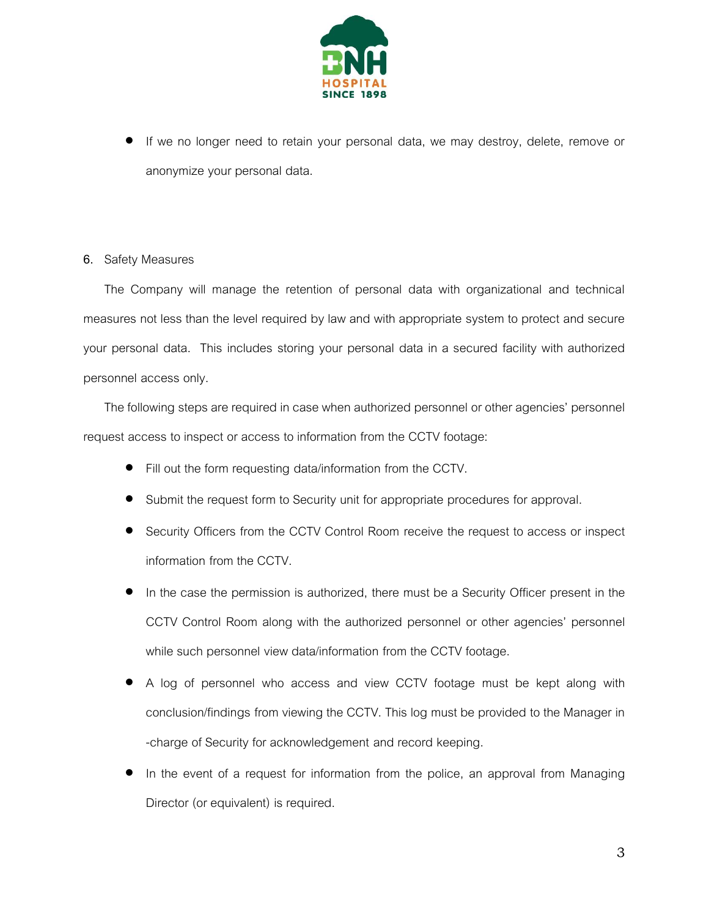

 If we no longer need to retain your personal data, we may destroy, delete, remove or anonymize your personal data.

#### **6.** Safety Measures

The Company will manage the retention of personal data with organizational and technical measures not less than the level required by law and with appropriate system to protect and secure your personal data. This includes storing your personal data in a secured facility with authorized personnel access only.

The following steps are required in case when authorized personnel or other agencies' personnel request access to inspect or access to information from the CCTV footage:

- Fill out the form requesting data/information from the CCTV.
- Submit the request form to Security unit for appropriate procedures for approval.
- Security Officers from the CCTV Control Room receive the request to access or inspect information from the CCTV.
- In the case the permission is authorized, there must be a Security Officer present in the CCTV Control Room along with the authorized personnel or other agencies' personnel while such personnel view data/information from the CCTV footage.
- A log of personnel who access and view CCTV footage must be kept along with conclusion/findings from viewing the CCTV. This log must be provided to the Manager in -charge of Security for acknowledgement and record keeping.
- In the event of a request for information from the police, an approval from Managing Director (or equivalent) is required.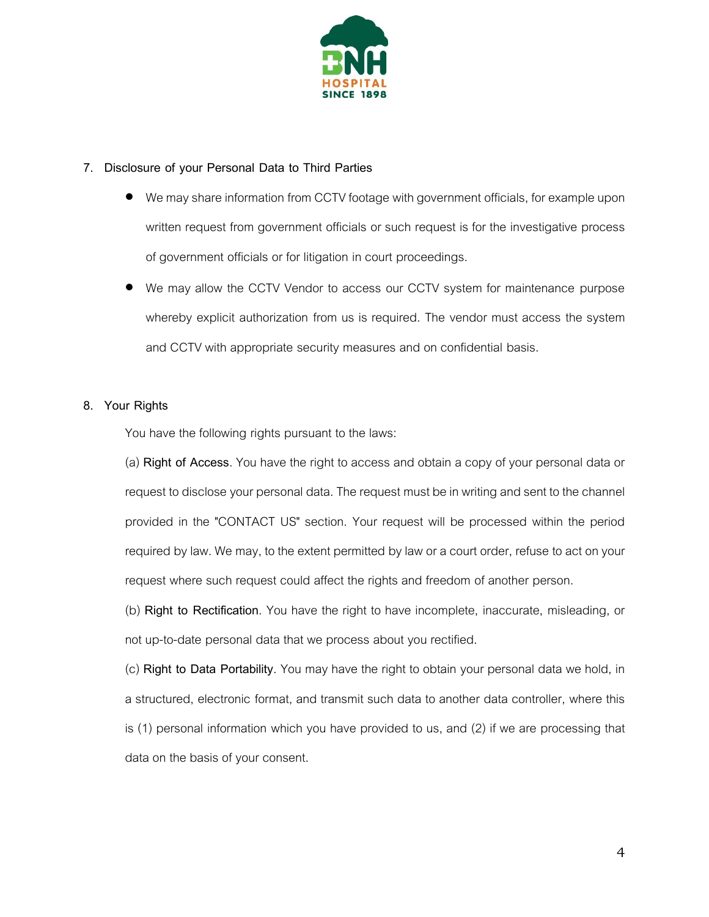

#### **7. Disclosure of your Personal Data to Third Parties**

- We may share information from CCTV footage with government officials, for example upon written request from government officials or such request is for the investigative process of government officials or for litigation in court proceedings.
- We may allow the CCTV Vendor to access our CCTV system for maintenance purpose whereby explicit authorization from us is required. The vendor must access the system and CCTV with appropriate security measures and on confidential basis.

## **8. Your Rights**

You have the following rights pursuant to the laws:

(a) **Right of Access**. You have the right to access and obtain a copy of your personal data or request to disclose your personal data. The request must be in writing and sent to the channel provided in the "CONTACT US" section. Your request will be processed within the period required by law. We may, to the extent permitted by law or a court order, refuse to act on your request where such request could affect the rights and freedom of another person.

(b) **Right to Rectification**. You have the right to have incomplete, inaccurate, misleading, or not up-to-date personal data that we process about you rectified.

(c) **Right to Data Portability**. You may have the right to obtain your personal data we hold, in a structured, electronic format, and transmit such data to another data controller, where this is (1) personal information which you have provided to us, and (2) if we are processing that data on the basis of your consent.